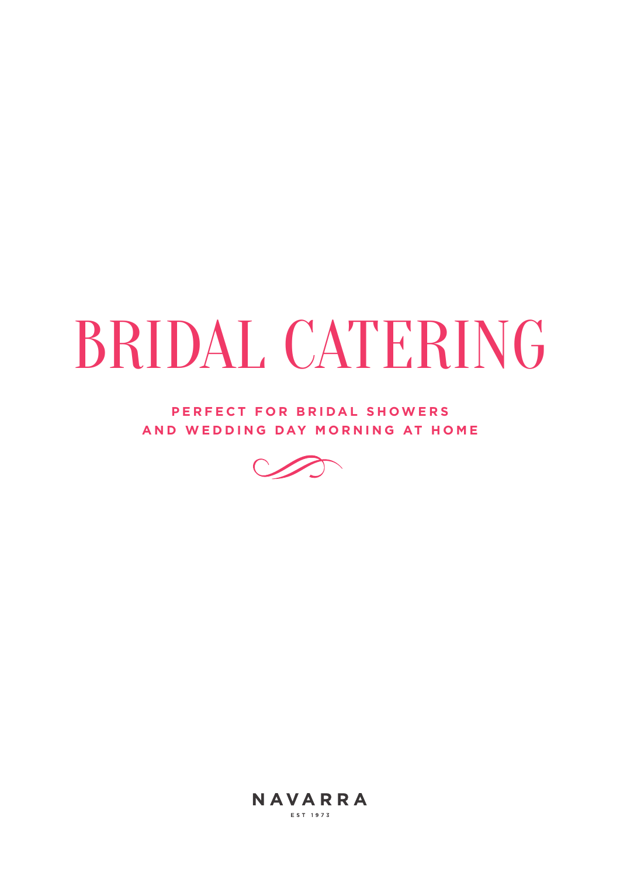# BRIDAL CATERING

PERFECT FOR BRIDAL SHOWERS **AND WEDDING DAY MORNING AT HOME** 



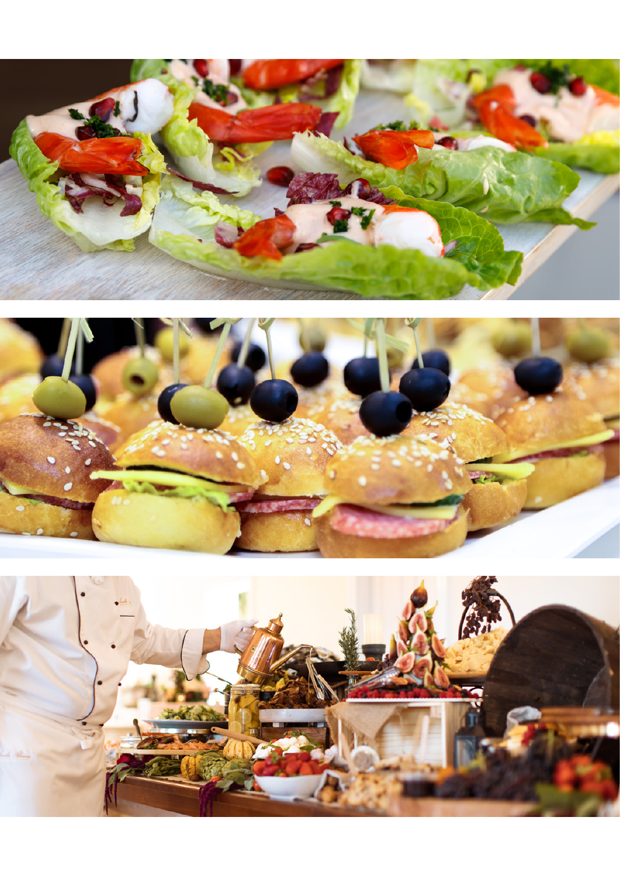



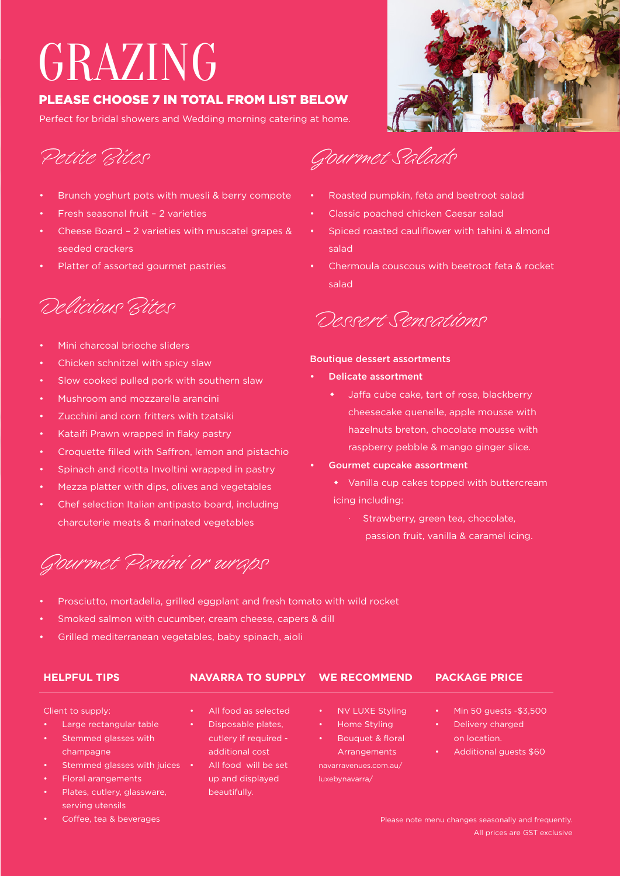## **GRAZING**

#### PLEASE CHOOSE 7 IN TOTAL FROM LIST BELOW

Perfect for bridal showers and Wedding morning catering at home.



Petite Bites

- Brunch yoghurt pots with muesli & berry compote
- Fresh seasonal fruit 2 varieties
- Cheese Board 2 varieties with muscatel grapes & seeded crackers
- Platter of assorted gourmet pastries

### Delicious Bites

- Mini charcoal brioche sliders
- Chicken schnitzel with spicy slaw
- Slow cooked pulled pork with southern slaw
- Mushroom and mozzarella arancini
- Zucchini and corn fritters with tzatsiki
- Kataifi Prawn wrapped in flaky pastry
- Croquette filled with Saffron, lemon and pistachio
- Spinach and ricotta Involtini wrapped in pastry
- Mezza platter with dips, olives and vegetables
- Chef selection Italian antipasto board, including charcuterie meats & marinated vegetables

Gourmet Panini or wraps

Coffee, tea & beverages

- Roasted pumpkin, feta and beetroot salad
- Classic poached chicken Caesar salad

Gourmet Salads

- Spiced roasted cauliflower with tahini & almond salad
- Chermoula couscous with beetroot feta & rocket salad

Dessert Sensations

#### Boutique dessert assortments

- Delicate assortment
	- Jaffa cube cake, tart of rose, blackberry cheesecake quenelle, apple mousse with hazelnuts breton, chocolate mousse with raspberry pebble & mango ginger slice.

• Gourmet cupcake assortment

- Vanilla cup cakes topped with buttercream icing including:
	- · Strawberry, green tea, chocolate, passion fruit, vanilla & caramel icing.
- Prosciutto, mortadella, grilled eggplant and fresh tomato with wild rocket
- Smoked salmon with cucumber, cream cheese, capers & dill
- Grilled mediterranean vegetables, baby spinach, aioli

| <b>HELPFUL TIPS</b>    |                                                                  | <b>NAVARRA TO SUPPLY WE RECOMMEND</b> |                                                                  |                |                                         | <b>PACKAGE PRICE</b>   |                                             |
|------------------------|------------------------------------------------------------------|---------------------------------------|------------------------------------------------------------------|----------------|-----------------------------------------|------------------------|---------------------------------------------|
|                        | Client to supply:<br>Large rectangular table                     | $\bullet$<br>$\bullet$                | All food as selected<br>Disposable plates.                       | $\bullet$<br>٠ | <b>NV LUXE Styling</b><br>Home Styling  | $\bullet$<br>$\bullet$ | Min 50 quests - \$3,500<br>Delivery charged |
| $\bullet$<br>$\bullet$ | Stemmed glasses with<br>champagne<br>Stemmed glasses with juices | $\bullet$                             | cutlery if required -<br>additional cost<br>All food will be set | $\bullet$      | Bouquet & floral<br>Arrangements        | $\bullet$ .            | on location.<br>Additional quests \$60      |
| $\bullet$              | Floral arangements                                               |                                       | up and displayed                                                 |                | navarravenues.com.au/<br>luxebynavarra/ |                        |                                             |
| $\bullet$              | Plates, cutlery, glassware,<br>serving utensils                  |                                       | beautifully.                                                     |                |                                         |                        |                                             |

Please note menu changes seasonally and frequently. All prices are GST exclusive